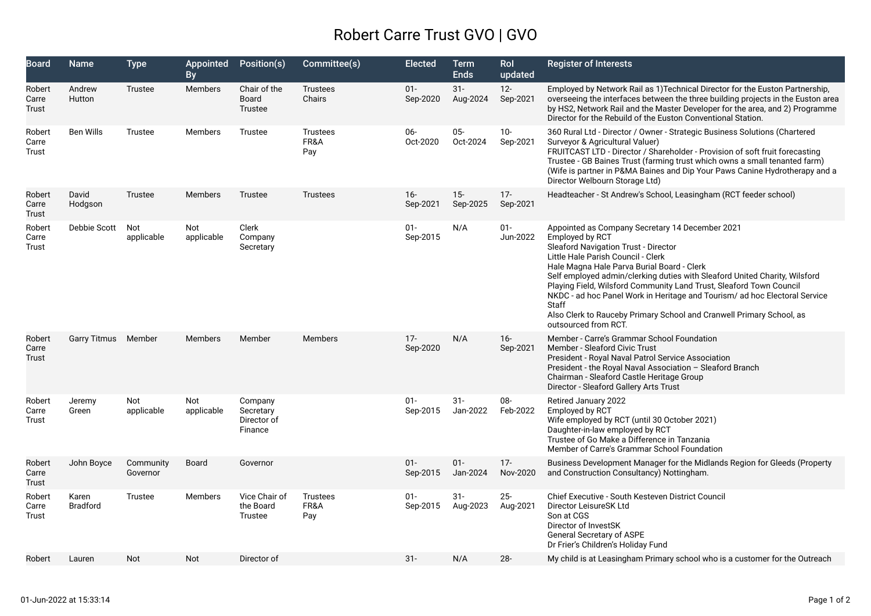## Robert Carre Trust GVO | GVO

| Board                    | Name                     | <b>Type</b>           | Appointed<br><b>By</b> | Position(s)                                    | Committee(s)                   | <b>Elected</b>     | <b>Term</b><br><b>Ends</b> | Rol<br>updated     | <b>Register of Interests</b>                                                                                                                                                                                                                                                                                                                                                                                                                                                                                                                      |
|--------------------------|--------------------------|-----------------------|------------------------|------------------------------------------------|--------------------------------|--------------------|----------------------------|--------------------|---------------------------------------------------------------------------------------------------------------------------------------------------------------------------------------------------------------------------------------------------------------------------------------------------------------------------------------------------------------------------------------------------------------------------------------------------------------------------------------------------------------------------------------------------|
| Robert<br>Carre<br>Trust | Andrew<br>Hutton         | Trustee               | Members                | Chair of the<br>Board<br>Trustee               | <b>Trustees</b><br>Chairs      | $01 -$<br>Sep-2020 | $31 -$<br>Aug-2024         | $12 -$<br>Sep-2021 | Employed by Network Rail as 1) Technical Director for the Euston Partnership,<br>overseeing the interfaces between the three building projects in the Euston area<br>by HS2, Network Rail and the Master Developer for the area, and 2) Programme<br>Director for the Rebuild of the Euston Conventional Station.                                                                                                                                                                                                                                 |
| Robert<br>Carre<br>Trust | <b>Ben Wills</b>         | Trustee               | Members                | Trustee                                        | <b>Trustees</b><br>FR&A<br>Pay | 06-<br>Oct-2020    | $05 -$<br>Oct-2024         | $10 -$<br>Sep-2021 | 360 Rural Ltd - Director / Owner - Strategic Business Solutions (Chartered<br>Surveyor & Agricultural Valuer)<br>FRUITCAST LTD - Director / Shareholder - Provision of soft fruit forecasting<br>Trustee - GB Baines Trust (farming trust which owns a small tenanted farm)<br>(Wife is partner in P&MA Baines and Dip Your Paws Canine Hydrotherapy and a<br>Director Welbourn Storage Ltd)                                                                                                                                                      |
| Robert<br>Carre<br>Trust | David<br>Hodgson         | Trustee               | <b>Members</b>         | Trustee                                        | <b>Trustees</b>                | $16 -$<br>Sep-2021 | $15 -$<br>Sep-2025         | $17 -$<br>Sep-2021 | Headteacher - St Andrew's School, Leasingham (RCT feeder school)                                                                                                                                                                                                                                                                                                                                                                                                                                                                                  |
| Robert<br>Carre<br>Trust | Debbie Scott             | Not<br>applicable     | Not<br>applicable      | Clerk<br>Company<br>Secretary                  |                                | $01 -$<br>Sep-2015 | N/A                        | $01 -$<br>Jun-2022 | Appointed as Company Secretary 14 December 2021<br>Employed by RCT<br>Sleaford Navigation Trust - Director<br>Little Hale Parish Council - Clerk<br>Hale Magna Hale Parva Burial Board - Clerk<br>Self employed admin/clerking duties with Sleaford United Charity, Wilsford<br>Playing Field, Wilsford Community Land Trust, Sleaford Town Council<br>NKDC - ad hoc Panel Work in Heritage and Tourism/ ad hoc Electoral Service<br><b>Staff</b><br>Also Clerk to Rauceby Primary School and Cranwell Primary School, as<br>outsourced from RCT. |
| Robert<br>Carre<br>Trust | Garry Titmus Member      |                       | <b>Members</b>         | Member                                         | Members                        | $17 -$<br>Sep-2020 | N/A                        | $16 -$<br>Sep-2021 | Member - Carre's Grammar School Foundation<br><b>Member - Sleaford Civic Trust</b><br>President - Royal Naval Patrol Service Association<br>President - the Royal Naval Association - Sleaford Branch<br>Chairman - Sleaford Castle Heritage Group<br>Director - Sleaford Gallery Arts Trust                                                                                                                                                                                                                                                      |
| Robert<br>Carre<br>Trust | Jeremy<br>Green          | Not<br>applicable     | Not<br>applicable      | Company<br>Secretary<br>Director of<br>Finance |                                | $01 -$<br>Sep-2015 | $31 -$<br>Jan-2022         | 08-<br>Feb-2022    | Retired January 2022<br>Employed by RCT<br>Wife employed by RCT (until 30 October 2021)<br>Daughter-in-law employed by RCT<br>Trustee of Go Make a Difference in Tanzania<br>Member of Carre's Grammar School Foundation                                                                                                                                                                                                                                                                                                                          |
| Robert<br>Carre<br>Trust | John Boyce               | Community<br>Governor | <b>Board</b>           | Governor                                       |                                | $01 -$<br>Sep-2015 | $01 -$<br>Jan-2024         | $17 -$<br>Nov-2020 | Business Development Manager for the Midlands Region for Gleeds (Property<br>and Construction Consultancy) Nottingham.                                                                                                                                                                                                                                                                                                                                                                                                                            |
| Robert<br>Carre<br>Trust | Karen<br><b>Bradford</b> | Trustee               | Members                | Vice Chair of<br>the Board<br>Trustee          | <b>Trustees</b><br>FR&A<br>Pay | $01 -$<br>Sep-2015 | $31 -$<br>Aug-2023         | $25 -$<br>Aug-2021 | <b>Chief Executive - South Kesteven District Council</b><br>Director LeisureSK Ltd<br>Son at CGS<br>Director of InvestSK<br><b>General Secretary of ASPE</b><br>Dr Frier's Children's Holiday Fund                                                                                                                                                                                                                                                                                                                                                |
| Robert                   | Lauren                   | Not                   | <b>Not</b>             | Director of                                    |                                | $31 -$             | N/A                        | $28 -$             | My child is at Leasingham Primary school who is a customer for the Outreach                                                                                                                                                                                                                                                                                                                                                                                                                                                                       |